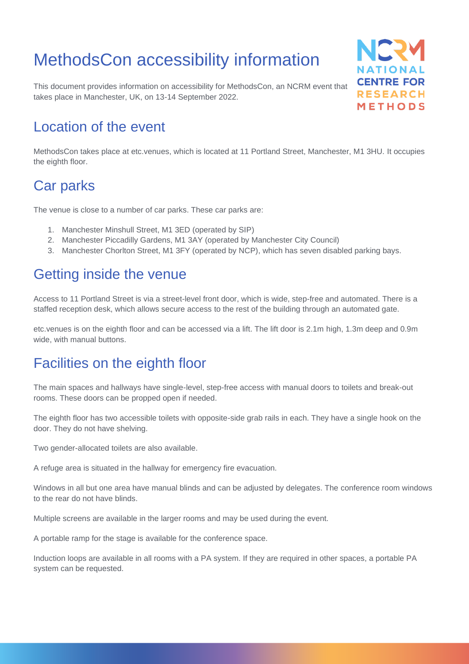# MethodsCon accessibility information

This document provides information on accessibility for MethodsCon, an NCRM event that takes place in Manchester, UK, on 13-14 September 2022.



#### Location of the event

MethodsCon takes place at etc.venues, which is located at 11 Portland Street, Manchester, M1 3HU. It occupies the eighth floor.

### Car parks

The venue is close to a number of car parks. These car parks are:

- 1. Manchester Minshull Street, M1 3ED (operated by SIP)
- 2. Manchester Piccadilly Gardens, M1 3AY (operated by Manchester City Council)
- 3. Manchester Chorlton Street, M1 3FY (operated by NCP), which has seven disabled parking bays.

## Getting inside the venue

Access to 11 Portland Street is via a street-level front door, which is wide, step-free and automated. There is a staffed reception desk, which allows secure access to the rest of the building through an automated gate.

etc.venues is on the eighth floor and can be accessed via a lift. The lift door is 2.1m high, 1.3m deep and 0.9m wide, with manual buttons.

## Facilities on the eighth floor

The main spaces and hallways have single-level, step-free access with manual doors to toilets and break-out rooms. These doors can be propped open if needed.

The eighth floor has two accessible toilets with opposite-side grab rails in each. They have a single hook on the door. They do not have shelving.

Two gender-allocated toilets are also available.

A refuge area is situated in the hallway for emergency fire evacuation.

Windows in all but one area have manual blinds and can be adjusted by delegates. The conference room windows to the rear do not have blinds.

Multiple screens are available in the larger rooms and may be used during the event.

A portable ramp for the stage is available for the conference space.

Induction loops are available in all rooms with a PA system. If they are required in other spaces, a portable PA system can be requested.